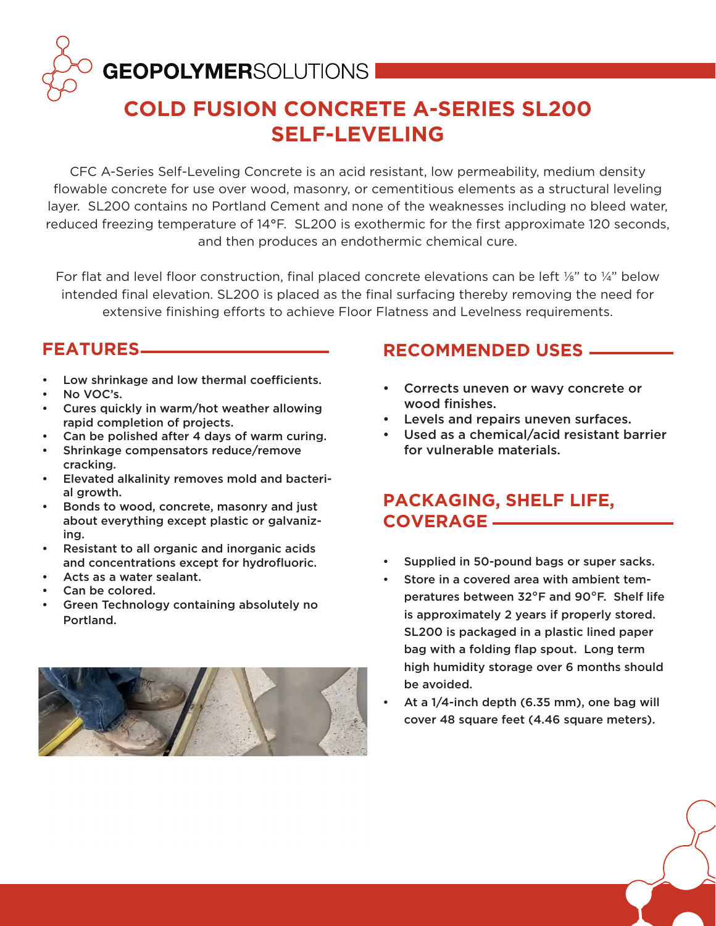# **GEOPOLYMER**SOLUTIONS I

## **COLD FUSION CONCRETE A-SERIES SL200 SELF-LEVELING**

CFC A-Series Self-Leveling Concrete is an acid resistant, low permeability, medium density flowable concrete for use over wood, masonry, or cementitious elements as a structural leveling layer. SL200 contains no Portland Cement and none of the weaknesses including no bleed water, reduced freezing temperature of 14°F. SL200 is exothermic for the first approximate 120 seconds, and then produces an endothermic chemical cure.

For flat and level floor construction, final placed concrete elevations can be left  $\frac{1}{8}$ " to  $\frac{1}{4}$ " below intended final elevation. SL200 is placed as the final surfacing thereby removing the need for extensive finishing efforts to achieve Floor Flatness and Levelness requirements.

#### **FEATURES**

- Low shrinkage and low thermal coefficients.
- No VOC's.
- Cures quickly in warm/hot weather allowing rapid completion of projects.
- Can be polished after 4 days of warm curing.
- Shrinkage compensators reduce/remove cracking.
- Elevated alkalinity removes mold and bacterial growth.
- Bonds to wood, concrete, masonry and just about everything except plastic or galvanizing.
- Resistant to all organic and inorganic acids and concentrations except for hydrofluoric.
- Acts as a water sealant.
- Can be colored.
- Green Technology containing absolutely no Portland.

#### **RECOMMENDED USES**

- Corrects uneven or wavy concrete or wood finishes.
- Levels and repairs uneven surfaces.
- Used as a chemical/acid resistant barrier for vulnerable materials.

### **PACKAGING, SHELF LIFE, COVERAGE**

- Supplied in 50-pound bags or super sacks.
- Store in a covered area with ambient temperatures between 32°F and 90°F. Shelf life is approximately 2 years if properly stored. SL200 is packaged in a plastic lined paper bag with a folding flap spout. Long term high humidity storage over 6 months should be avoided.
- At a 1/4-inch depth (6.35 mm), one bag will cover 48 square feet (4.46 square meters).